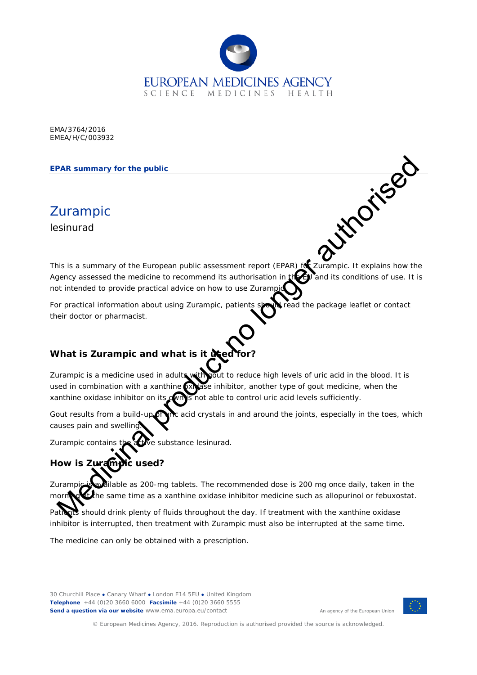

EMA/3764/2016 EMEA/H/C/003932

#### **EPAR summary for the public**

Zurampic lesinurad

This is a summary of the European public assessment report (EPAR) for Zurampic. It explains how the Agency assessed the medicine to recommend its authorisation in the EU and its conditions of use. It is not intended to provide practical advice on how to use Zuran PAR summary for the public<br>sistuary for the public<br>isinurad<br>is is a summary of the European public assessment report (EPAR) Incurrence. It explains how the<br>process second the modified to recommend its authorisation. It is

For practical information about using Zurampic, patients stout read the package leaflet or contact their doctor or pharmacist.

## **What is Zurampic and what is it used**

Zurampic is a medicine used in adults with yout to reduce high levels of uric acid in the blood. It is used in combination with a xanthine  $\alpha$  ase inhibitor, another type of gout medicine, when the xanthine oxidase inhibitor on its  $\alpha$  is not able to control uric acid levels sufficiently.

Gout results from a build-up of the acid crystals in and around the joints, especially in the toes, which causes pain and swelling.

Zurampic contains the active substance lesinurad.

# **How is Zurampic used?**

Zurampic is available as 200-mg tablets. The recommended dose is 200 mg once daily, taken in the morn**ing at the same time as a xanthine oxidase inhibitor medicine such as allopurinol or febuxostat.** 

should drink plenty of fluids throughout the day. If treatment with the xanthine oxidase inhibitor is interrupted, then treatment with Zurampic must also be interrupted at the same time.

The medicine can only be obtained with a prescription.

30 Churchill Place **●** Canary Wharf **●** London E14 5EU **●** United Kingdom **Telephone** +44 (0)20 3660 6000 **Facsimile** +44 (0)20 3660 5555 **Send a question via our website** www.ema.europa.eu/contact



An agency of the European Union

© European Medicines Agency, 2016. Reproduction is authorised provided the source is acknowledged.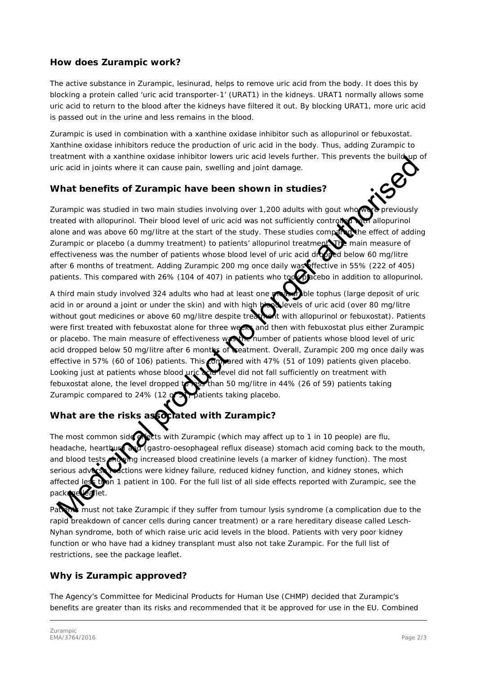#### **How does Zurampic work?**

The active substance in Zurampic, lesinurad, helps to remove uric acid from the body. It does this by blocking a protein called 'uric acid transporter-1' (URAT1) in the kidneys. URAT1 normally allows some uric acid to return to the blood after the kidneys have filtered it out. By blocking URAT1, more uric acid is passed out in the urine and less remains in the blood.

Zurampic is used in combination with a xanthine oxidase inhibitor such as allopurinol or febuxostat. Xanthine oxidase inhibitors reduce the production of uric acid in the body. Thus, adding Zurampic to treatment with a xanthine oxidase inhibitor lowers uric acid levels further. This prevents the build-up of uric acid in joints where it can cause pain, swelling and joint damage.

#### **What benefits of Zurampic have been shown in studies?**

Zurampic was studied in two main studies involving over 1,200 adults with gout who were previously treated with allopurinol. Their blood level of uric acid was not sufficiently controlled with allopurinol alone and was above 60 mg/litre at the start of the study. These studies compared the effect of adding Zurampic or placebo (a dummy treatment) to patients' allopurinol treatment. The main measure of effectiveness was the number of patients whose blood level of uric acid dropped below 60 mg/litre after 6 months of treatment. Adding Zurampic 200 mg once daily was ffective in 55% (222 of 405) patients. This compared with 26% (104 of 407) in patients who to placebo in addition to allopurinol.

A third main study involved 324 adults who had at least one measurable tophus (large deposit of uric acid in or around a joint or under the skin) and with high blood levels of uric acid (over 80 mg/litre without gout medicines or above 60 mg/litre despite treatment with allopurinol or febuxostat). Patients were first treated with febuxostat alone for three weeks and then with febuxostat plus either Zurampic or placebo. The main measure of effectiveness was the number of patients whose blood level of uric acid dropped below 50 mg/litre after 6 months of reatment. Overall, Zurampic 200 mg once daily was effective in 57% (60 of 106) patients. This compared with 47% (51 of 109) patients given placebo. Looking just at patients whose blood uric acid level did not fall sufficiently on treatment with febuxostat alone, the level dropped  $\sqrt{\frac{1}{100}}$  than 50 mg/litre in 44% (26 of 59) patients taking Zurampic compared to 24% (12 of 51) patients taking placebo. Electric main a solitic methanic solition and a formula between the solition of the methanic methanic methanic methanic methanic methanic methanic methanic methanic methanic methanic methanic methanic methanic methanic met

## What are the risks as octated with Zurampic?

The most common side exects with Zurampic (which may affect up to 1 in 10 people) are flu, headache, hearthurn and (gastro-oesophageal reflux disease) stomach acid coming back to the mouth, and blood tests **showing increased blood creatinine levels** (a marker of kidney function). The most serious adverse **reactions** were kidney failure, reduced kidney function, and kidney stones, which affected less than 1 patient in 100. For the full list of all side effects reported with Zurampic, see the package leaflet.

Patients must not take Zurampic if they suffer from tumour lysis syndrome (a complication due to the rapid breakdown of cancer cells during cancer treatment) or a rare hereditary disease called Lesch-Nyhan syndrome, both of which raise uric acid levels in the blood. Patients with very poor kidney function or who have had a kidney transplant must also not take Zurampic. For the full list of restrictions, see the package leaflet.

### **Why is Zurampic approved?**

The Agency's Committee for Medicinal Products for Human Use (CHMP) decided that Zurampic's benefits are greater than its risks and recommended that it be approved for use in the EU. Combined